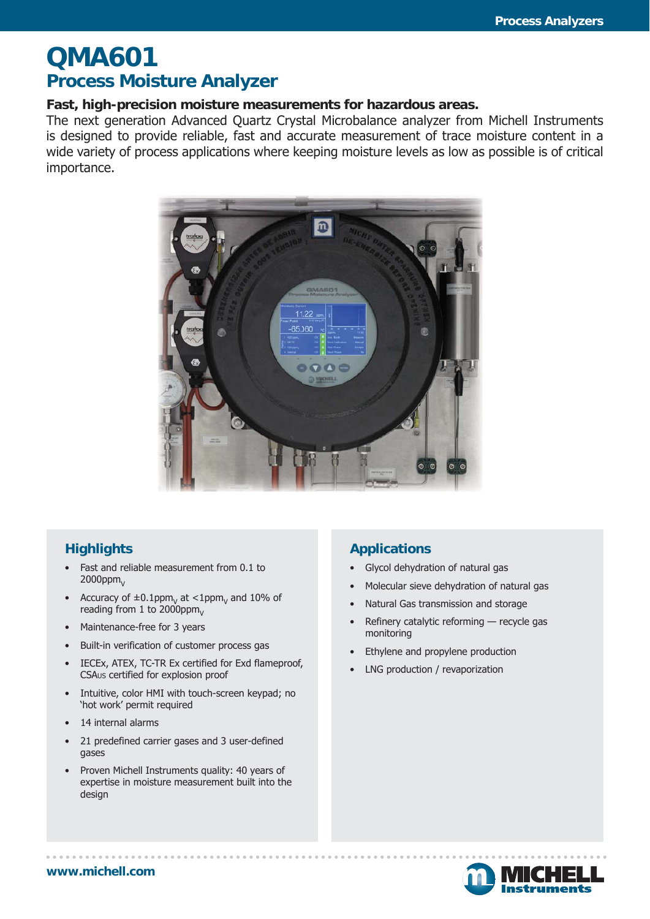# **QMA601 Process Moisture Analyzer**

### **Fast, high-precision moisture measurements for hazardous areas.**

The next generation Advanced Quartz Crystal Microbalance analyzer from Michell Instruments is designed to provide reliable, fast and accurate measurement of trace moisture content in a wide variety of process applications where keeping moisture levels as low as possible is of critical importance.



## **Highlights**

- Fast and reliable measurement from 0.1 to  $2000$ ppm $_{\vee}$
- Accuracy of  $\pm 0.1$ ppm<sub>V</sub> at <1ppm<sub>V</sub> and 10% of reading from 1 to 2000ppm.
- Maintenance-free for 3 years
- Built-in verification of customer process gas
- IECEx, ATEX, TC-TR Ex certified for Exd flameproof, CSAUS certified for explosion proof
- Intuitive, color HMI with touch-screen keypad; no 'hot work' permit required
- 14 internal alarms
- 21 predefined carrier gases and 3 user-defined gases
- Proven Michell Instruments quality: 40 years of expertise in moisture measurement built into the design

## **Applications**

- Glycol dehydration of natural gas
- Molecular sieve dehydration of natural gas
- Natural Gas transmission and storage
- Refinery catalytic reforming recycle gas monitoring
- Ethylene and propylene production
- LNG production / revaporization

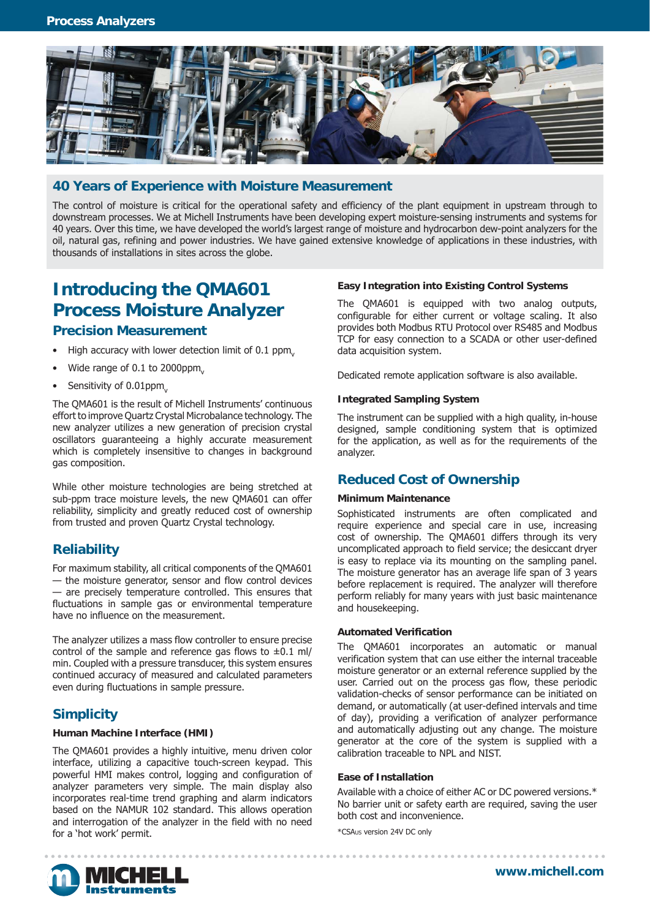

### **40 Years of Experience with Moisture Measurement**

The control of moisture is critical for the operational safety and efficiency of the plant equipment in upstream through to downstream processes. We at Michell Instruments have been developing expert moisture-sensing instruments and systems for 40 years. Over this time, we have developed the world's largest range of moisture and hydrocarbon dew-point analyzers for the oil, natural gas, refining and power industries. We have gained extensive knowledge of applications in these industries, with thousands of installations in sites across the globe.

# **Introducing the QMA601 Process Moisture Analyzer**

### **Precision Measurement**

- $\bullet$  High accuracy with lower detection limit of 0.1 ppm.
- Wide range of  $0.1$  to 2000ppm.
- Sensitivity of  $0.01$ ppm.

The QMA601 is the result of Michell Instruments' continuous effort to improve Quartz Crystal Microbalance technology. The new analyzer utilizes a new generation of precision crystal oscillators guaranteeing a highly accurate measurement which is completely insensitive to changes in background gas composition.

While other moisture technologies are being stretched at sub-ppm trace moisture levels, the new QMA601 can offer reliability, simplicity and greatly reduced cost of ownership from trusted and proven Quartz Crystal technology.

### **Reliability**

For maximum stability, all critical components of the QMA601 — the moisture generator, sensor and flow control devices — are precisely temperature controlled. This ensures that fluctuations in sample gas or environmental temperature have no influence on the measurement.

The analyzer utilizes a mass flow controller to ensure precise control of the sample and reference gas flows to  $\pm 0.1$  ml/ min. Coupled with a pressure transducer, this system ensures continued accuracy of measured and calculated parameters even during fluctuations in sample pressure.

## **Simplicity**

#### **Human Machine Interface (HMI)**

The QMA601 provides a highly intuitive, menu driven color interface, utilizing a capacitive touch-screen keypad. This powerful HMI makes control, logging and configuration of analyzer parameters very simple. The main display also incorporates real-time trend graphing and alarm indicators based on the NAMUR 102 standard. This allows operation and interrogation of the analyzer in the field with no need for a 'hot work' permit.

#### **Easy Integration into Existing Control Systems**

The QMA601 is equipped with two analog outputs, configurable for either current or voltage scaling. It also provides both Modbus RTU Protocol over RS485 and Modbus TCP for easy connection to a SCADA or other user-defined data acquisition system.

Dedicated remote application software is also available.

#### **Integrated Sampling System**

The instrument can be supplied with a high quality, in-house designed, sample conditioning system that is optimized for the application, as well as for the requirements of the analyzer.

#### **Reduced Cost of Ownership**

#### **Minimum Maintenance**

Sophisticated instruments are often complicated and require experience and special care in use, increasing cost of ownership. The QMA601 differs through its very uncomplicated approach to field service; the desiccant dryer is easy to replace via its mounting on the sampling panel. The moisture generator has an average life span of 3 years before replacement is required. The analyzer will therefore perform reliably for many years with just basic maintenance and housekeeping.

#### **Automated Verification**

The QMA601 incorporates an automatic or manual verification system that can use either the internal traceable moisture generator or an external reference supplied by the user. Carried out on the process gas flow, these periodic validation-checks of sensor performance can be initiated on demand, or automatically (at user-defined intervals and time of day), providing a verification of analyzer performance and automatically adjusting out any change. The moisture generator at the core of the system is supplied with a calibration traceable to NPL and NIST.

#### **Ease of Installation**

Available with a choice of either AC or DC powered versions.\* No barrier unit or safety earth are required, saving the user both cost and inconvenience.

\*CSAUS version 24V DC only



**www.michell.com**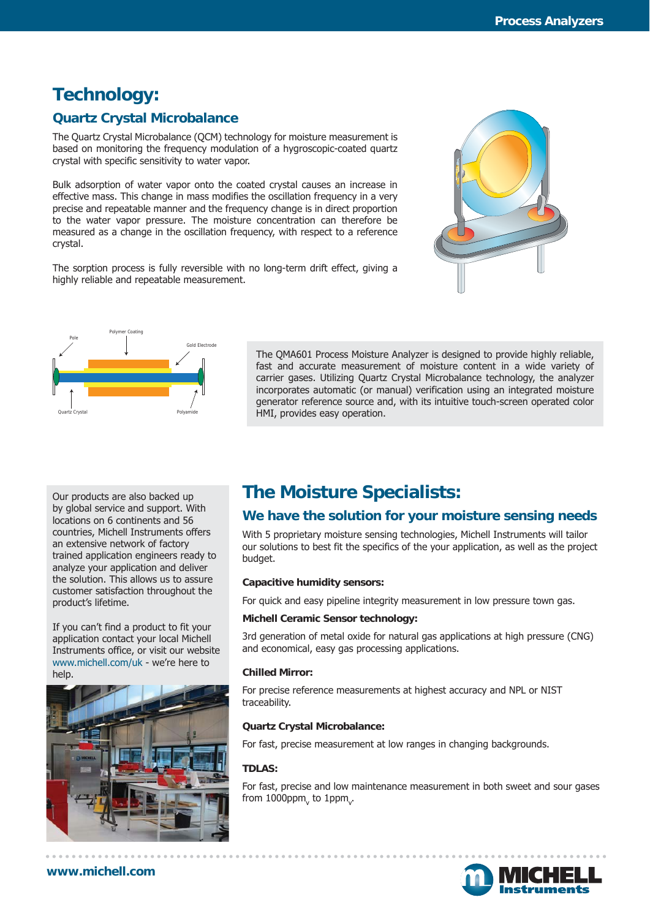## **Technology:**

## **Quartz Crystal Microbalance**

The Quartz Crystal Microbalance (QCM) technology for moisture measurement is based on monitoring the frequency modulation of a hygroscopic-coated quartz crystal with specific sensitivity to water vapor.

Bulk adsorption of water vapor onto the coated crystal causes an increase in effective mass. This change in mass modifies the oscillation frequency in a very precise and repeatable manner and the frequency change is in direct proportion to the water vapor pressure. The moisture concentration can therefore be measured as a change in the oscillation frequency, with respect to a reference crystal.

The sorption process is fully reversible with no long-term drift effect, giving a highly reliable and repeatable measurement.





The QMA601 Process Moisture Analyzer is designed to provide highly reliable, fast and accurate measurement of moisture content in a wide variety of carrier gases. Utilizing Quartz Crystal Microbalance technology, the analyzer incorporates automatic (or manual) verification using an integrated moisture generator reference source and, with its intuitive touch-screen operated color HMI, provides easy operation.

Our products are also backed up by global service and support. With locations on 6 continents and 56 countries, Michell Instruments offers an extensive network of factory trained application engineers ready to analyze your application and deliver the solution. This allows us to assure customer satisfaction throughout the product's lifetime.

If you can't find a product to fit your application contact your local Michell Instruments office, or visit our website www.michell.com/uk - we're here to help.



# **The Moisture Specialists:**

## **We have the solution for your moisture sensing needs**

With 5 proprietary moisture sensing technologies, Michell Instruments will tailor our solutions to best fit the specifics of the your application, as well as the project budget.

#### **Capacitive humidity sensors:**

For quick and easy pipeline integrity measurement in low pressure town gas.

#### **Michell Ceramic Sensor technology:**

3rd generation of metal oxide for natural gas applications at high pressure (CNG) and economical, easy gas processing applications.

#### **Chilled Mirror:**

For precise reference measurements at highest accuracy and NPL or NIST traceability.

#### **Quartz Crystal Microbalance:**

For fast, precise measurement at low ranges in changing backgrounds.

#### **TDLAS:**

For fast, precise and low maintenance measurement in both sweet and sour gases from  $1000$ ppm $_{\rm v}$  to  $1$ ppm $_{\rm v}$ .



#### **www.michell.com**